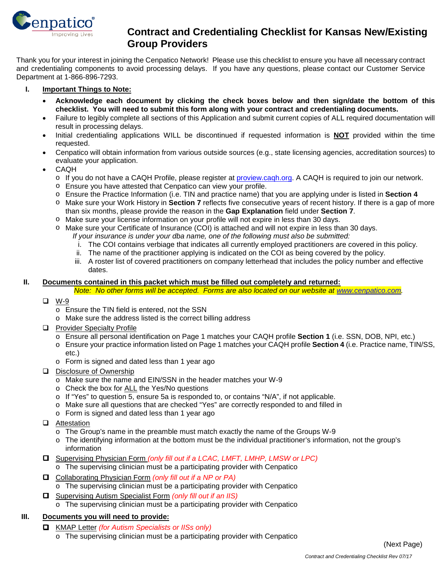

# **Contract and Credentialing Checklist for Kansas New/Existing**<br>Inproving Lives **Contract and Credentialing Checklist for Kansas New/Existing Group Providers**

Thank you for your interest in joining the Cenpatico Network! Please use this checklist to ensure you have all necessary contract and credentialing components to avoid processing delays. If you have any questions, please contact our Customer Service Department at 1-866-896-7293.

## **I. Important Things to Note:**

- **Acknowledge each document by clicking the check boxes below and then sign/date the bottom of this checklist. You will need to submit this form along with your contract and credentialing documents.**
- Failure to legibly complete all sections of this Application and submit current copies of ALL required documentation will result in processing delays.
- Initial credentialing applications WILL be discontinued if requested information is **NOT** provided within the time requested.
- Cenpatico will obtain information from various outside sources (e.g., state licensing agencies, accreditation sources) to evaluate your application.
- CAQH
	- o If you do not have a CAQH Profile, please register at [proview.caqh.org.](http://proview.caqh.org/) A CAQH is required to join our network.
	- o Ensure you have attested that Cenpatico can view your profile.
	- o Ensure the Practice Information (i.e. TIN and practice name) that you are applying under is listed in **Section 4**
	- o Make sure your Work History in **Section 7** reflects five consecutive years of recent history. If there is a gap of more than six months, please provide the reason in the **Gap Explanation** field under **Section 7**.
	- o Make sure your license information on your profile will not expire in less than 30 days.
	- o Make sure your Certificate of Insurance (COI) is attached and will not expire in less than 30 days.
		- *If your insurance is under your dba name, one of the following must also be submitted:*
		- i. The COI contains verbiage that indicates all currently employed practitioners are covered in this policy.
		- ii. The name of the practitioner applying is indicated on the COI as being covered by the policy.
		- iii. A roster list of covered practitioners on company letterhead that includes the policy number and effective dates.

#### **II. Documents contained in this packet which must be filled out completely and returned:**

*Note: No other forms will be accepted. Forms are also located on our website at [www.cenpatico.com.](http://www.cenpatico.com/)*

- □ W-9
	- o Ensure the TIN field is entered, not the SSN
	- o Make sure the address listed is the correct billing address
- **Q** Provider Specialty Profile
	- o Ensure all personal identification on Page 1 matches your CAQH profile **Section 1** (i.e. SSN, DOB, NPI, etc.)
	- o Ensure your practice information listed on Page 1 matches your CAQH profile **Section 4** (i.e. Practice name, TIN/SS, etc.)
	- o Form is signed and dated less than 1 year ago
- Disclosure of Ownership
	- o Make sure the name and EIN/SSN in the header matches your W-9
	- o Check the box for ALL the Yes/No questions
	- o If "Yes" to question 5, ensure 5a is responded to, or contains "N/A", if not applicable.
	- o Make sure all questions that are checked "Yes" are correctly responded to and filled in
	- o Form is signed and dated less than 1 year ago
- **Q** Attestation
	- o The Group's name in the preamble must match exactly the name of the Groups W-9
	- o The identifying information at the bottom must be the individual practitioner's information, not the group's information
- Supervising Physician Form *(only fill out if a LCAC, LMFT, LMHP, LMSW or LPC)* o The supervising clinician must be a participating provider with Cenpatico
- Collaborating Physician Form *(only fill out if a NP or PA)*
	- o The supervising clinician must be a participating provider with Cenpatico
- Supervising Autism Specialist Form *(only fill out if an IIS)*
	- o The supervising clinician must be a participating provider with Cenpatico

## **III. Documents you will need to provide:**

KMAP Letter *(for Autism Specialists or IISs only)*